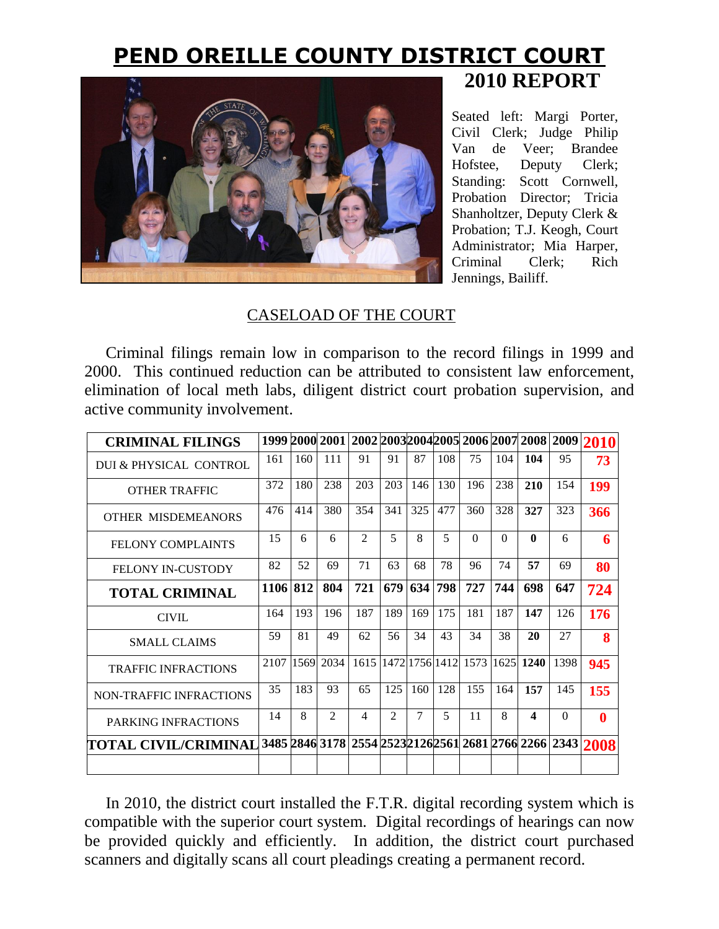## **PEND OREILLE COUNTY DISTRICT COURT 2010 REPORT**



Seated left: Margi Porter, Civil Clerk; Judge Philip Van de Veer; Brandee Hofstee, Deputy Clerk; Standing: Scott Cornwell, Probation Director; Tricia Shanholtzer, Deputy Clerk & Probation; T.J. Keogh, Court Administrator; Mia Harper, Criminal Clerk; Rich Jennings, Bailiff.

## CASELOAD OF THE COURT

Criminal filings remain low in comparison to the record filings in 1999 and 2000. This continued reduction can be attributed to consistent law enforcement, elimination of local meth labs, diligent district court probation supervision, and active community involvement.

| <b>CRIMINAL FILINGS</b>        |          |      |                |                |                |        |                |          |          |                  |          | 1999 2000 2001 2002 2003 2004 2005 2006 2007 2008 2009 2010 |
|--------------------------------|----------|------|----------------|----------------|----------------|--------|----------------|----------|----------|------------------|----------|-------------------------------------------------------------|
| DUI & PHYSICAL CONTROL         | 161      | 160  | 111            | 91             | 91             | 87     | 108            | 75       | 104      | 104              | 95       | 73                                                          |
| <b>OTHER TRAFFIC</b>           | 372      | 180  | 238            | 203            | 203            | 146    | 130            | 196      | 238      | 210              | 154      | 199                                                         |
| <b>OTHER MISDEMEANORS</b>      | 476      | 414  | 380            | 354            | 341            | 325    | 477            | 360      | 328      | 327              | 323      | 366                                                         |
| <b>FELONY COMPLAINTS</b>       | 15       | 6    | 6              | $\mathfrak{D}$ | 5              | 8      | 5              | $\Omega$ | $\Omega$ | $\mathbf{0}$     | 6        | 6                                                           |
| <b>FELONY IN-CUSTODY</b>       | 82       | 52   | 69             | 71             | 63             | 68     | 78             | 96       | 74       | 57               | 69       | 80                                                          |
| <b>TOTAL CRIMINAL</b>          | 1106 812 |      | 804            | 721            | 679            | 634    | 798            | 727      | 744      | 698              | 647      | 724                                                         |
| <b>CIVIL</b>                   | 164      | 193  | 196            | 187            | 189            | 169    | 175            | 181      | 187      | 147              | 126      | 176                                                         |
| <b>SMALL CLAIMS</b>            | 59       | 81   | 49             | 62             | 56             | 34     | 43             | 34       | 38       | 20               | 27       | 8                                                           |
| <b>TRAFFIC INFRACTIONS</b>     | 2107     | 1569 | 2034           | 1615           |                |        | 1472 1756 1412 | 1573     | 1625     | 1240             | 1398     | 945                                                         |
| <b>NON-TRAFFIC INFRACTIONS</b> | 35       | 183  | 93             | 65             | 125            | 160    | 128            | 155      | 164      | 157              | 145      | 155                                                         |
| PARKING INFRACTIONS            | 14       | 8    | $\mathfrak{D}$ | $\overline{4}$ | $\mathfrak{D}$ | $\tau$ | 5              | 11       | 8        | $\boldsymbol{4}$ | $\Omega$ | $\bf{0}$                                                    |
| TOTAL CIVIL/CRIMINAL           |          |      |                |                |                |        |                |          |          |                  |          | 3485 2846 3178 2554 2523 2126 2561 2681 2766 2266 2343 2008 |
|                                |          |      |                |                |                |        |                |          |          |                  |          |                                                             |

In 2010, the district court installed the F.T.R. digital recording system which is compatible with the superior court system. Digital recordings of hearings can now be provided quickly and efficiently. In addition, the district court purchased scanners and digitally scans all court pleadings creating a permanent record.